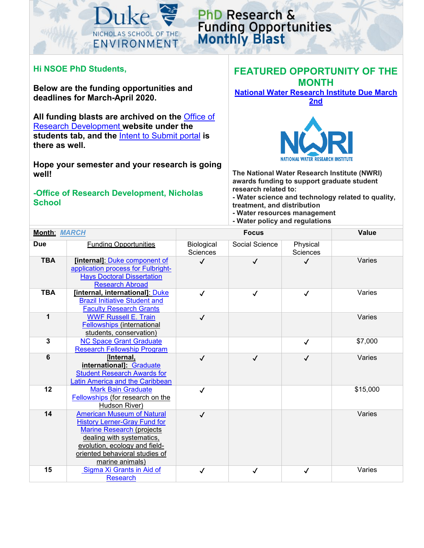

## PhD Research & **Funding Opportunities**<br>Monthly Blast

## **Hi NSOE PhD Students,**

**Below are the funding opportunities and deadlines for March-April 2020.** 

**All funding blasts are archived on the** [Office of](https://sites.nicholas.duke.edu/nsoeresearchdev/)  [Research Development](https://sites.nicholas.duke.edu/nsoeresearchdev/) **website under the students tab, and the** [Intent to Submit portal](https://duke.qualtrics.com/jfe/form/SV_eQmCMm6WSpWnWE5) **is there as well.** 

**Hope your semester and your research is going well!**

## **-Office of Research Development, Nicholas School**

## **FEATURED OPPORTUNITY OF THE MONTH**

**[National Water Research Institute](https://www.nwri-usa.org/fellowships) Due March 2nd**



**The National Water Research Institute (NWRI) awards funding to support graduate student research related to:**

- **- Water science and technology related to quality, treatment, and distribution**
- **- Water resources management**
- **- Water policy and regulations**

| <b>Month: MARCH</b> |                                                                                                                                                                                                                                 | <b>Focus</b>                  |                |                             | <b>Value</b> |
|---------------------|---------------------------------------------------------------------------------------------------------------------------------------------------------------------------------------------------------------------------------|-------------------------------|----------------|-----------------------------|--------------|
| <b>Due</b>          | <b>Funding Opportunities</b>                                                                                                                                                                                                    | Biological<br><b>Sciences</b> | Social Science | Physical<br><b>Sciences</b> |              |
| <b>TBA</b>          | [internal]: Duke component of<br>application process for Fulbright-<br><b>Hays Doctoral Dissertation</b><br><b>Research Abroad</b>                                                                                              | $\checkmark$                  | $\checkmark$   | $\checkmark$                | Varies       |
| <b>TBA</b>          | [internal, international]: Duke<br><b>Brazil Initiative Student and</b><br><b>Faculty Research Grants</b>                                                                                                                       | $\checkmark$                  | $\checkmark$   | $\checkmark$                | Varies       |
| 1                   | <b>WWF Russell E. Train</b><br>Fellowships (international<br>students, conservation)                                                                                                                                            | $\checkmark$                  |                |                             | Varies       |
| 3                   | <b>NC Space Grant Graduate</b><br><b>Research Fellowship Program</b>                                                                                                                                                            |                               |                | $\checkmark$                | \$7,000      |
| 6                   | [Internal,<br>international]: Graduate<br><b>Student Research Awards for</b><br>Latin America and the Caribbean                                                                                                                 | $\checkmark$                  | $\checkmark$   | $\checkmark$                | Varies       |
| 12                  | <b>Mark Bain Graduate</b><br>Fellowships (for research on the<br>Hudson River)                                                                                                                                                  | $\checkmark$                  |                |                             | \$15,000     |
| 14                  | <b>American Museum of Natural</b><br><b>History Lerner-Gray Fund for</b><br><b>Marine Research (projects</b><br>dealing with systematics,<br>evolution, ecology and field-<br>oriented behavioral studies of<br>marine animals) | $\checkmark$                  |                |                             | Varies       |
| 15                  | Sigma Xi Grants in Aid of<br><b>Research</b>                                                                                                                                                                                    | ✓                             | ✓              | ✓                           | Varies       |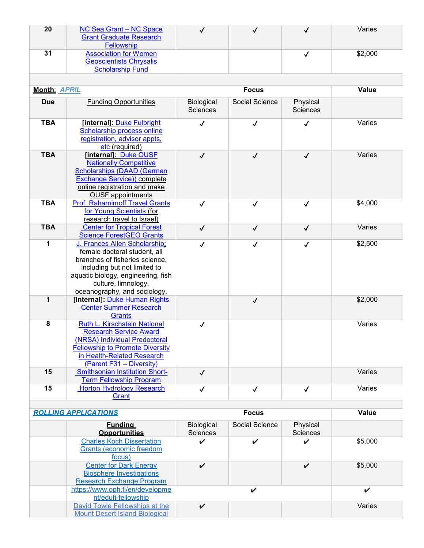| 20 | NC Sea Grant - NC Space        |  | Varies  |
|----|--------------------------------|--|---------|
|    | <b>Grant Graduate Research</b> |  |         |
|    | Fellowship                     |  |         |
| 31 | <b>Association for Women</b>   |  | \$2,000 |
|    | <b>Geoscientists Chrysalis</b> |  |         |
|    | <b>Scholarship Fund</b>        |  |         |
|    |                                |  |         |

| <b>Month: APRIL</b> |                                                                                                                                                                                                                              | <b>Focus</b>                         |                |                      | <b>Value</b> |
|---------------------|------------------------------------------------------------------------------------------------------------------------------------------------------------------------------------------------------------------------------|--------------------------------------|----------------|----------------------|--------------|
| <b>Due</b>          | <b>Funding Opportunities</b>                                                                                                                                                                                                 | <b>Biological</b><br><b>Sciences</b> | Social Science | Physical<br>Sciences |              |
| <b>TBA</b>          | [internal]: Duke Fulbright<br><b>Scholarship process online</b><br>registration, advisor appts,<br>etc (required)                                                                                                            | $\checkmark$                         | $\checkmark$   | $\checkmark$         | Varies       |
| <b>TBA</b>          | [internal]: Duke OUSF<br><b>Nationally Competitive</b><br><b>Scholarships (DAAD (German</b><br>Exchange Service)) complete<br>online registration and make<br><b>OUSF</b> appointments                                       | $\checkmark$                         | $\checkmark$   | $\checkmark$         | Varies       |
| <b>TBA</b>          | <b>Prof. Rahamimoff Travel Grants</b><br>for Young Scientists (for<br>research travel to Israel)                                                                                                                             | $\checkmark$                         | ✓              | $\checkmark$         | \$4,000      |
| <b>TBA</b>          | <b>Center for Tropical Forest</b><br><b>Science ForestGEO Grants</b>                                                                                                                                                         | $\checkmark$                         | $\checkmark$   | $\checkmark$         | Varies       |
| 1                   | J. Frances Allen Scholarship;<br>female doctoral student, all<br>branches of fisheries science,<br>including but not limited to<br>aquatic biology, engineering, fish<br>culture, limnology,<br>oceanography, and sociology. | $\checkmark$                         | $\checkmark$   | $\checkmark$         | \$2,500      |
| 1                   | [Internal]: Duke Human Rights<br><b>Center Summer Research</b><br>Grants                                                                                                                                                     |                                      | $\checkmark$   |                      | \$2,000      |
| 8                   | Ruth L. Kirschstein National<br><b>Research Service Award</b><br>(NRSA) Individual Predoctoral<br><b>Fellowship to Promote Diversity</b><br>in Health-Related Research<br>(Parent F31 - Diversity)                           | $\checkmark$                         |                |                      | Varies       |
| 15                  | <b>Smithsonian Institution Short-</b><br><b>Term Fellowship Program</b>                                                                                                                                                      | $\checkmark$                         |                |                      | Varies       |
| 15                  | <b>Horton Hydrology Research</b><br><b>Grant</b>                                                                                                                                                                             | $\checkmark$                         | $\checkmark$   | $\checkmark$         | Varies       |

| <b>ROLLING APPLICATIONS</b> |                                                                                                      | <b>Focus</b>           |                |                             | Value   |
|-----------------------------|------------------------------------------------------------------------------------------------------|------------------------|----------------|-----------------------------|---------|
|                             | <b>Funding</b><br><b>Opportunities</b>                                                               | Biological<br>Sciences | Social Science | Physical<br><b>Sciences</b> |         |
|                             | <b>Charles Koch Dissertation</b><br><b>Grants (economic freedom</b><br><u>focus)</u>                 | ✔                      | ✓              |                             | \$5,000 |
|                             | <b>Center for Dark Energy</b><br><b>Biosphere Investigations</b><br><b>Research Exchange Program</b> | $\boldsymbol{\nu}$     |                |                             | \$5,000 |
|                             | https://www.oph.fi/en/developme<br>nt/edufi-fellowship                                               |                        | ✓              |                             |         |
|                             | David Towle Fellowships at the<br><b>Mount Desert Island Biological</b>                              | $\boldsymbol{\nu}$     |                |                             | Varies  |